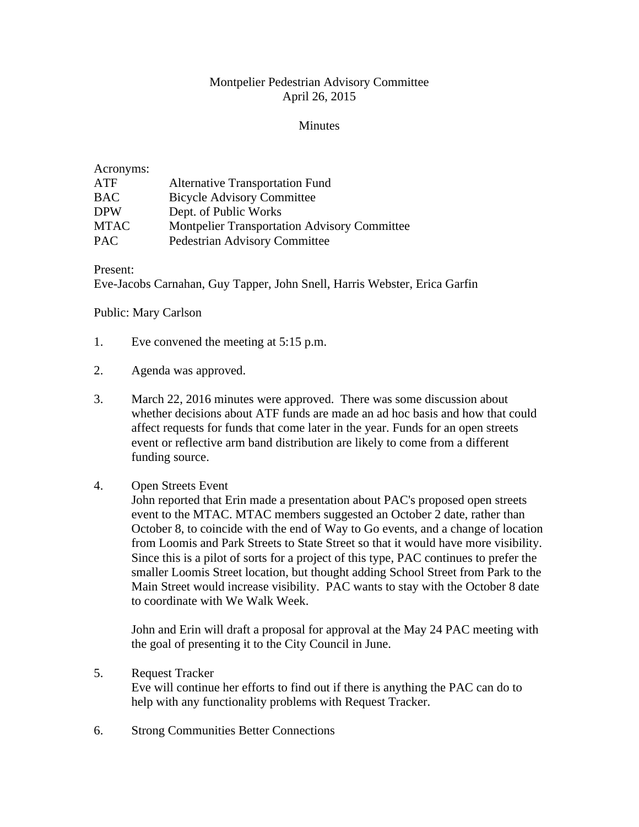## Montpelier Pedestrian Advisory Committee April 26, 2015

## **Minutes**

## Acronyms: ATF Alternative Transportation Fund BAC Bicycle Advisory Committee DPW Dept. of Public Works MTAC Montpelier Transportation Advisory Committee PAC Pedestrian Advisory Committee

Present:

Eve-Jacobs Carnahan, Guy Tapper, John Snell, Harris Webster, Erica Garfin

Public: Mary Carlson

- 1. Eve convened the meeting at 5:15 p.m.
- 2. Agenda was approved.
- 3. March 22, 2016 minutes were approved. There was some discussion about whether decisions about ATF funds are made an ad hoc basis and how that could affect requests for funds that come later in the year. Funds for an open streets event or reflective arm band distribution are likely to come from a different funding source.

## 4. Open Streets Event

John reported that Erin made a presentation about PAC's proposed open streets event to the MTAC. MTAC members suggested an October 2 date, rather than October 8, to coincide with the end of Way to Go events, and a change of location from Loomis and Park Streets to State Street so that it would have more visibility. Since this is a pilot of sorts for a project of this type, PAC continues to prefer the smaller Loomis Street location, but thought adding School Street from Park to the Main Street would increase visibility. PAC wants to stay with the October 8 date to coordinate with We Walk Week.

John and Erin will draft a proposal for approval at the May 24 PAC meeting with the goal of presenting it to the City Council in June.

- 5. Request Tracker Eve will continue her efforts to find out if there is anything the PAC can do to help with any functionality problems with Request Tracker.
- 6. Strong Communities Better Connections